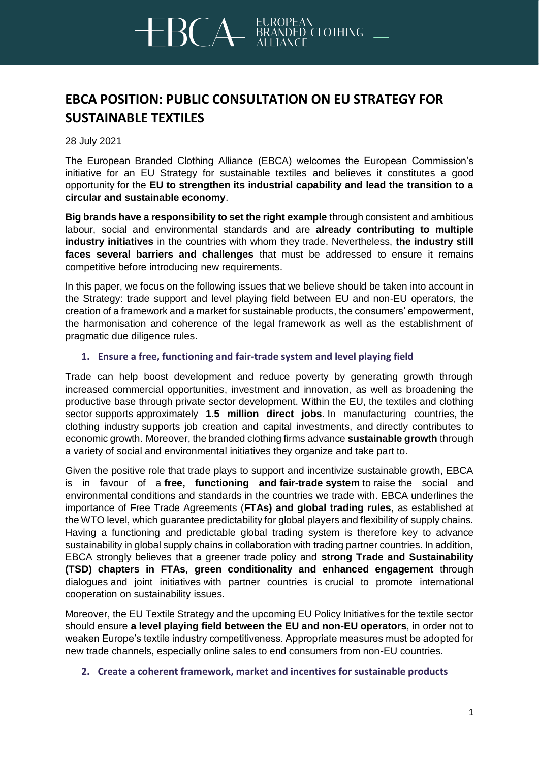# $BCA$ DED CLOTHING

### **EBCA POSITION: PUBLIC CONSULTATION ON EU STRATEGY FOR SUSTAINABLE TEXTILES**

28 July 2021

The European Branded Clothing Alliance (EBCA) welcomes the European Commission's initiative for an EU Strategy for sustainable textiles and believes it constitutes a good opportunity for the **EU to strengthen its industrial capability and lead the transition to a circular and sustainable economy**.

**Big brands have a responsibility to set the right example** through consistent and ambitious labour, social and environmental standards and are **already contributing to multiple industry initiatives** in the countries with whom they trade. Nevertheless, **the industry still faces several barriers and challenges** that must be addressed to ensure it remains competitive before introducing new requirements.

In this paper, we focus on the following issues that we believe should be taken into account in the Strategy: trade support and level playing field between EU and non-EU operators, the creation of a framework and a market for sustainable products, the consumers' empowerment, the harmonisation and coherence of the legal framework as well as the establishment of pragmatic due diligence rules.

### **1. Ensure a free, functioning and fair-trade system and level playing field**

Trade can help boost development and reduce poverty by generating growth through increased commercial opportunities, investment and innovation, as well as broadening the productive base through private sector development. Within the EU, the textiles and clothing sector supports approximately **1.5 million direct jobs**. In manufacturing countries, the clothing industry supports job creation and capital investments, and directly contributes to economic growth. Moreover, the branded clothing firms advance **sustainable growth** through a variety of social and environmental initiatives they organize and take part to.

Given the positive role that trade plays to support and incentivize sustainable growth, EBCA is in favour of a **free, functioning and fair-trade system** to raise the social and environmental conditions and standards in the countries we trade with. EBCA underlines the importance of Free Trade Agreements (**FTAs) and global trading rules**, as established at the WTO level, which guarantee predictability for global players and flexibility of supply chains. Having a functioning and predictable global trading system is therefore key to advance sustainability in global supply chains in collaboration with trading partner countries. In addition, EBCA strongly believes that a greener trade policy and **strong Trade and Sustainability (TSD) chapters in FTAs, green conditionality and enhanced engagement** through dialogues and joint initiatives with partner countries is crucial to promote international cooperation on sustainability issues.

Moreover, the EU Textile Strategy and the upcoming EU Policy Initiatives for the textile sector should ensure **a level playing field between the EU and non-EU operators**, in order not to weaken Europe's textile industry competitiveness. Appropriate measures must be adopted for new trade channels, especially online sales to end consumers from non-EU countries.

### **2. Create a coherent framework, market and incentives for sustainable products**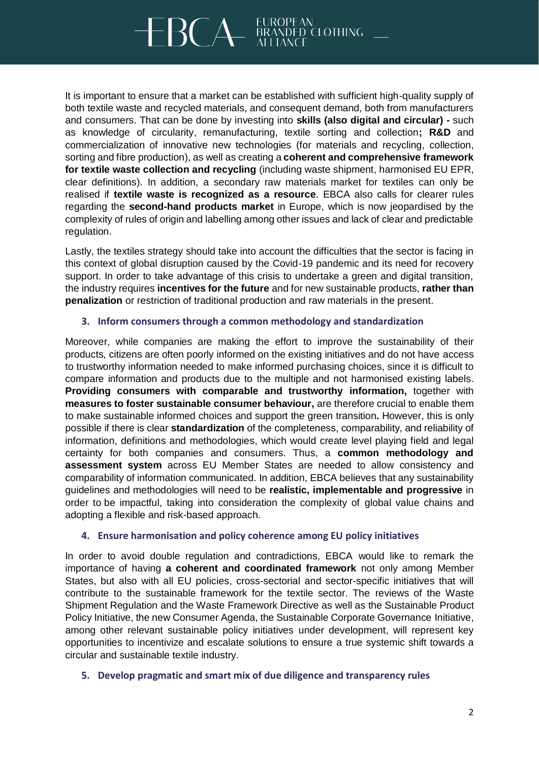## $BCA$ DED CLOTHING

It is important to ensure that a market can be established with sufficient high-quality supply of both textile waste and recycled materials, and consequent demand, both from manufacturers and consumers. That can be done by investing into **skills (also digital and circular) -** such as knowledge of circularity, remanufacturing, textile sorting and collection**; R&D** and commercialization of innovative new technologies (for materials and recycling, collection, sorting and fibre production), as well as creating a **coherent and comprehensive framework for textile waste collection and recycling** (including waste shipment, harmonised EU EPR, clear definitions). In addition, a secondary raw materials market for textiles can only be realised if **textile waste is recognized as a resource**. EBCA also calls for clearer rules regarding the **second-hand products market** in Europe, which is now jeopardised by the complexity of rules of origin and labelling among other issues and lack of clear and predictable regulation.

Lastly, the textiles strategy should take into account the difficulties that the sector is facing in this context of global disruption caused by the Covid-19 pandemic and its need for recovery support. In order to take advantage of this crisis to undertake a green and digital transition, the industry requires **incentives for the future** and for new sustainable products, **rather than penalization** or restriction of traditional production and raw materials in the present.

### **3. Inform consumers through a common methodology and standardization**

Moreover, while companies are making the effort to improve the sustainability of their products, citizens are often poorly informed on the existing initiatives and do not have access to trustworthy information needed to make informed purchasing choices, since it is difficult to compare information and products due to the multiple and not harmonised existing labels. **Providing consumers with comparable and trustworthy information,** together with **measures to foster sustainable consumer behaviour,** are therefore crucial to enable them to make sustainable informed choices and support the green transition**.** However, this is only possible if there is clear **standardization** of the completeness, comparability, and reliability of information, definitions and methodologies, which would create level playing field and legal certainty for both companies and consumers. Thus, a **common methodology and assessment system** across EU Member States are needed to allow consistency and comparability of information communicated. In addition, EBCA believes that any sustainability guidelines and methodologies will need to be **realistic, implementable and progressive** in order to be impactful, taking into consideration the complexity of global value chains and adopting a flexible and risk-based approach.

### **4. Ensure harmonisation and policy coherence among EU policy initiatives**

In order to avoid double regulation and contradictions, EBCA would like to remark the importance of having **a coherent and coordinated framework** not only among Member States, but also with all EU policies, cross-sectorial and sector-specific initiatives that will contribute to the sustainable framework for the textile sector. The reviews of the Waste Shipment Regulation and the Waste Framework Directive as well as the Sustainable Product Policy Initiative, the new Consumer Agenda, the Sustainable Corporate Governance Initiative, among other relevant sustainable policy initiatives under development, will represent key opportunities to incentivize and escalate solutions to ensure a true systemic shift towards a circular and sustainable textile industry.

### **5. Develop pragmatic and smart mix of due diligence and transparency rules**